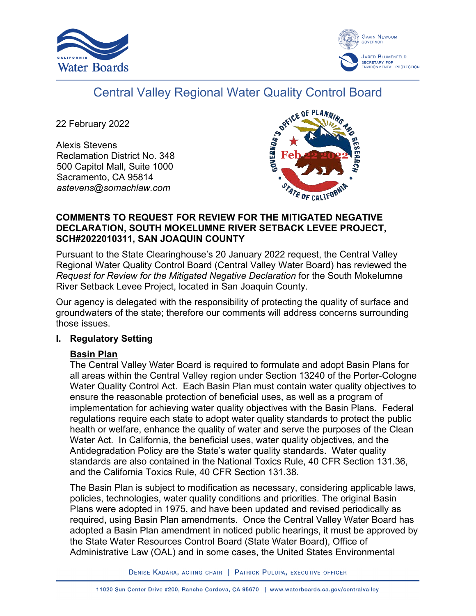



# Central Valley Regional Water Quality Control Board

22 February 2022

Alexis Stevens Reclamation District No. 348 500 Capitol Mall, Suite 1000 Sacramento, CA 95814 *astevens@somachlaw.com*



## **COMMENTS TO REQUEST FOR REVIEW FOR THE MITIGATED NEGATIVE DECLARATION, SOUTH MOKELUMNE RIVER SETBACK LEVEE PROJECT, SCH#2022010311, SAN JOAQUIN COUNTY**

Pursuant to the State Clearinghouse's 20 January 2022 request, the Central Valley Regional Water Quality Control Board (Central Valley Water Board) has reviewed the *Request for Review for the Mitigated Negative Declaration* for the South Mokelumne River Setback Levee Project, located in San Joaquin County.

Our agency is delegated with the responsibility of protecting the quality of surface and groundwaters of the state; therefore our comments will address concerns surrounding those issues.

## **I. Regulatory Setting**

## **Basin Plan**

The Central Valley Water Board is required to formulate and adopt Basin Plans for all areas within the Central Valley region under Section 13240 of the Porter-Cologne Water Quality Control Act. Each Basin Plan must contain water quality objectives to ensure the reasonable protection of beneficial uses, as well as a program of implementation for achieving water quality objectives with the Basin Plans. Federal regulations require each state to adopt water quality standards to protect the public health or welfare, enhance the quality of water and serve the purposes of the Clean Water Act. In California, the beneficial uses, water quality objectives, and the Antidegradation Policy are the State's water quality standards. Water quality standards are also contained in the National Toxics Rule, 40 CFR Section 131.36, and the California Toxics Rule, 40 CFR Section 131.38.

The Basin Plan is subject to modification as necessary, considering applicable laws, policies, technologies, water quality conditions and priorities. The original Basin Plans were adopted in 1975, and have been updated and revised periodically as required, using Basin Plan amendments. Once the Central Valley Water Board has adopted a Basin Plan amendment in noticed public hearings, it must be approved by the State Water Resources Control Board (State Water Board), Office of Administrative Law (OAL) and in some cases, the United States Environmental

DENISE KADARA, ACTING CHAIR | PATRICK PULUPA, EXECUTIVE OFFICER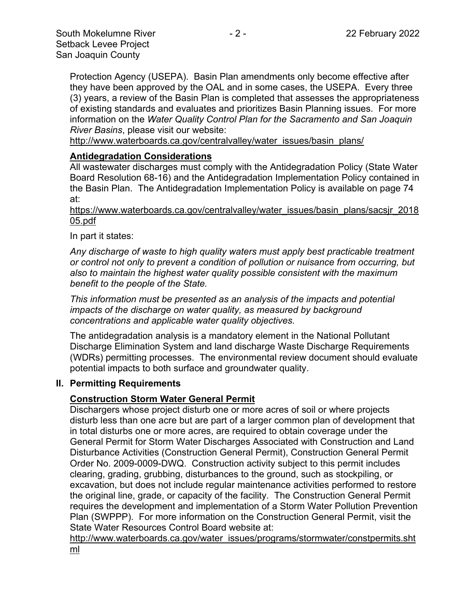Protection Agency (USEPA). Basin Plan amendments only become effective after they have been approved by the OAL and in some cases, the USEPA. Every three (3) years, a review of the Basin Plan is completed that assesses the appropriateness of existing standards and evaluates and prioritizes Basin Planning issues. For more information on the *Water Quality Control Plan for the Sacramento and San Joaquin River Basins*, please visit our website:

[http://www.waterboards.ca.gov/centralvalley/water\\_issues/basin\\_plans/](http://www.waterboards.ca.gov/centralvalley/water_issues/basin_plans/)

## **Antidegradation Considerations**

All wastewater discharges must comply with the Antidegradation Policy (State Water Board Resolution 68-16) and the Antidegradation Implementation Policy contained in the Basin Plan. The Antidegradation Implementation Policy is available on page 74 at:

https://www.waterboards.ca.gov/centralvalley/water\_issues/basin\_plans/sacsjr\_2018 05.pdf

In part it states:

*Any discharge of waste to high quality waters must apply best practicable treatment or control not only to prevent a condition of pollution or nuisance from occurring, but also to maintain the highest water quality possible consistent with the maximum benefit to the people of the State.*

*This information must be presented as an analysis of the impacts and potential impacts of the discharge on water quality, as measured by background concentrations and applicable water quality objectives.*

The antidegradation analysis is a mandatory element in the National Pollutant Discharge Elimination System and land discharge Waste Discharge Requirements (WDRs) permitting processes. The environmental review document should evaluate potential impacts to both surface and groundwater quality.

### **II. Permitting Requirements**

## **Construction Storm Water General Permit**

Dischargers whose project disturb one or more acres of soil or where projects disturb less than one acre but are part of a larger common plan of development that in total disturbs one or more acres, are required to obtain coverage under the General Permit for Storm Water Discharges Associated with Construction and Land Disturbance Activities (Construction General Permit), Construction General Permit Order No. 2009-0009-DWQ. Construction activity subject to this permit includes clearing, grading, grubbing, disturbances to the ground, such as stockpiling, or excavation, but does not include regular maintenance activities performed to restore the original line, grade, or capacity of the facility. The Construction General Permit requires the development and implementation of a Storm Water Pollution Prevention Plan (SWPPP). For more information on the Construction General Permit, visit the State Water Resources Control Board website at:

[http://www.waterboards.ca.gov/water\\_issues/programs/stormwater/constpermits.sht](http://www.waterboards.ca.gov/water_issues/programs/stormwater/constpermits.shtml) [ml](http://www.waterboards.ca.gov/water_issues/programs/stormwater/constpermits.shtml)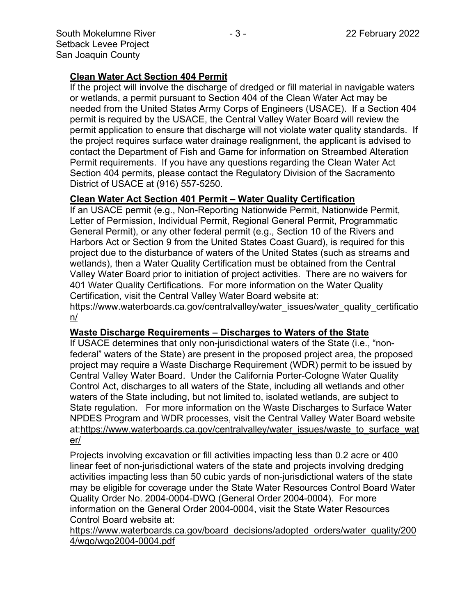## **Clean Water Act Section 404 Permit**

If the project will involve the discharge of dredged or fill material in navigable waters or wetlands, a permit pursuant to Section 404 of the Clean Water Act may be needed from the United States Army Corps of Engineers (USACE). If a Section 404 permit is required by the USACE, the Central Valley Water Board will review the permit application to ensure that discharge will not violate water quality standards. If the project requires surface water drainage realignment, the applicant is advised to contact the Department of Fish and Game for information on Streambed Alteration Permit requirements. If you have any questions regarding the Clean Water Act Section 404 permits, please contact the Regulatory Division of the Sacramento District of USACE at (916) 557-5250.

### **Clean Water Act Section 401 Permit – Water Quality Certification**

If an USACE permit (e.g., Non-Reporting Nationwide Permit, Nationwide Permit, Letter of Permission, Individual Permit, Regional General Permit, Programmatic General Permit), or any other federal permit (e.g., Section 10 of the Rivers and Harbors Act or Section 9 from the United States Coast Guard), is required for this project due to the disturbance of waters of the United States (such as streams and wetlands), then a Water Quality Certification must be obtained from the Central Valley Water Board prior to initiation of project activities. There are no waivers for 401 Water Quality Certifications. For more information on the Water Quality Certification, visit the Central Valley Water Board website at:

https://www.waterboards.ca.gov/centralvalley/water\_issues/water\_quality\_certificatio n/

### **Waste Discharge Requirements – Discharges to Waters of the State**

If USACE determines that only non-jurisdictional waters of the State (i.e., "nonfederal" waters of the State) are present in the proposed project area, the proposed project may require a Waste Discharge Requirement (WDR) permit to be issued by Central Valley Water Board. Under the California Porter-Cologne Water Quality Control Act, discharges to all waters of the State, including all wetlands and other waters of the State including, but not limited to, isolated wetlands, are subject to State regulation. For more information on the Waste Discharges to Surface Water NPDES Program and WDR processes, visit the Central Valley Water Board website at:https://www.waterboards.ca.gov/centralvalley/water\_issues/waste\_to\_surface\_wat er/

Projects involving excavation or fill activities impacting less than 0.2 acre or 400 linear feet of non-jurisdictional waters of the state and projects involving dredging activities impacting less than 50 cubic yards of non-jurisdictional waters of the state may be eligible for coverage under the State Water Resources Control Board Water Quality Order No. 2004-0004-DWQ (General Order 2004-0004). For more information on the General Order 2004-0004, visit the State Water Resources Control Board website at:

https://www.waterboards.ca.gov/board\_decisions/adopted\_orders/water\_quality/200 4/wqo/wqo2004-0004.pdf